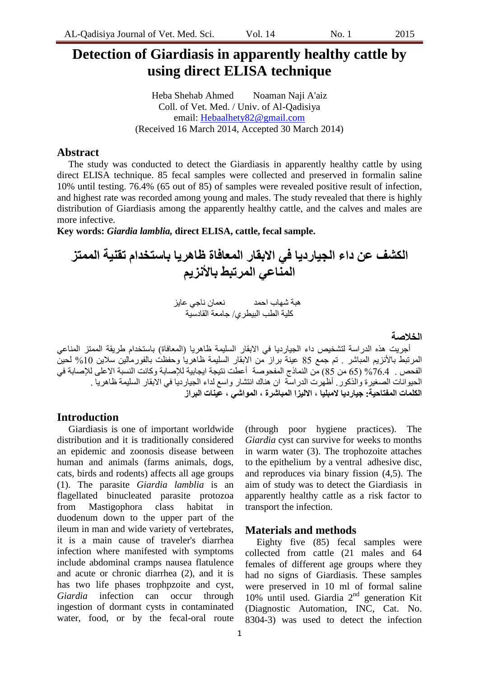### **Detection of Giardiasis in apparently healthy cattle by using direct ELISA technique**

Heba Shehab Ahmed Noaman Naji A'aiz Coll. of Vet. Med. / Univ. of Al-Qadisiya email: [Hebaalhety82@gmail.com](mailto:Hebaalhety82@gmail.com) (Received 16 March 2014, Accepted 30 March 2014)

### **Abstract**

The study was conducted to detect the Giardiasis in apparently healthy cattle by using direct ELISA technique. 85 fecal samples were collected and preserved in formalin saline 10% until testing. 76.4% (65 out of 85) of samples were revealed positive result of infection, and highest rate was recorded among young and males. The study revealed that there is highly distribution of Giardiasis among the apparently healthy cattle, and the calves and males are more infective.

**Key words:** *Giardia lamblia,* **direct ELISA, cattle, fecal sample.**

## **الكشف عن داء الجيارديا في االبقار الوعافاة ظاهريا باستخذام تقنيت الووتس**  المناع*ى* المرتبط بالأنزيم

 هثح شهاب احوذ ًعواى ًاجً عاٌض كلية الطب البيطري/ جامعة القادسية

**الخالصت**

أجريت هذه الدراسة لتشخيص داء الجيارديا في الابقار السليمة ظاهريا (المعافاة) باستخدام طريقة الممتز المناعي المرتبط بالأنزيم المباشر . تم جمع 85 عينة براز من الابقار السليمة ظاهرياً وحفظت بالفورمالين سلاين 10% لحينً الفحص . 76.4% (65 من 85) من النماذج المفحوصـة أعطت نتيجة ايجابية للإصـابة وكانت النسبة الاعلى للإصـابة في الحيوانات الصغيرة والذكور . أظهرت الدراسة ان هناك انتشار واسع لداء الجيارديا في الابقار السليمة ظاهريا . **الكلواث الوفتاحيت: جيارديا الهبليا , االليسا الوباشرة , الوواشي , عيناث البراز**

### **Introduction**

Giardiasis is one of important worldwide distribution and it is traditionally considered an epidemic and zoonosis disease between human and animals (farms animals, dogs, cats, birds and rodents) affects all age groups (1). The parasite *Giardia lamblia* is an flagellated binucleated parasite protozoa from Mastigophora class habitat in duodenum down to the upper part of the ileum in man and wide variety of vertebrates, it is a main cause of traveler's diarrhea infection where manifested with symptoms include abdominal cramps nausea flatulence and acute or chronic diarrhea (2), and it is has two life phases trophpzoite and cyst, *Giardia* infection can occur through ingestion of dormant cysts in contaminated water, food, or by the fecal-oral route

*Giardia* cyst can survive for weeks to months in warm water (3). The trophozoite attaches to the [epithelium](http://en.wikipedia.org/wiki/Epithelium) by a [ventral](http://en.wikipedia.org/wiki/Ventral) adhesive disc, and reproduces via [binary fission](http://en.wikipedia.org/wiki/Binary_fission) (4,5). The aim of study was to detect the Giardiasis in apparently healthy cattle as a risk factor to transport the infection.

(through poor hygiene practices). The

# **Materials and methods**

Eighty five (85) fecal samples were collected from cattle (21 males and 64 females of different age groups where they had no signs of Giardiasis. These samples were preserved in 10 ml of formal saline 10% until used. Giardia  $2<sup>nd</sup>$  generation Kit (Diagnostic Automation, INC, Cat. No. 8304-3) was used to detect the infection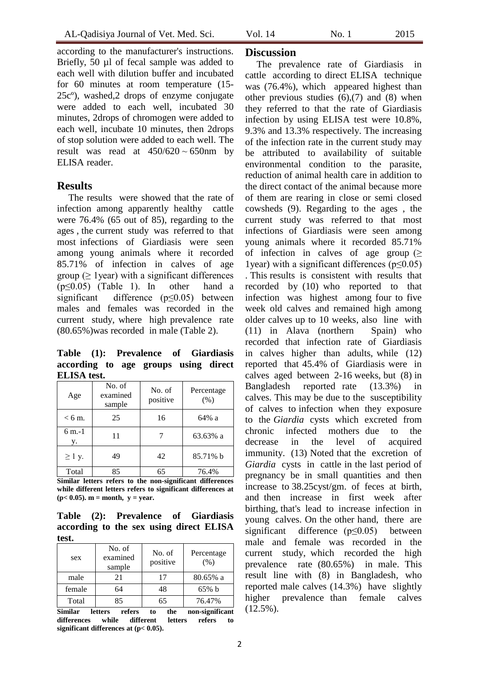according to the manufacturer's instructions. Briefly, 50 µl of fecal sample was added to each well with dilution buffer and incubated for 60 minutes at room temperature (15- 25cº), washed,2 drops of enzyme conjugate were added to each well, incubated 30 minutes, 2drops of chromogen were added to each well, incubate 10 minutes, then 2drops of stop solution were added to each well. The result was read at  $450/620 \sim 650$ nm by ELISA reader.

### **Results**

The results were showed that the rate of infection among apparently healthy cattle were 76.4% (65 out of 85), regarding to the ages , the current study was referred to that most infections of Giardiasis were seen among young animals where it recorded 85.71% of infection in calves of age group ( $\geq$  1 year) with a significant differences  $(p \le 0.05)$  (Table 1). In other hand a significant difference (p≤0.05) between males and females was recorded in the current study, where high prevalence rate (80.65%)was recorded in male (Table 2).

**Table (1): Prevalence of Giardiasis according to age groups using direct ELISA test.**

| Age           | No. of<br>examined<br>sample | No. of<br>positive | Percentage<br>(% ) |
|---------------|------------------------------|--------------------|--------------------|
| $< 6$ m.      | 25                           | 16                 | 64% a              |
| $6 m-1$<br>y. | 11                           |                    | 63.63% a           |
| $\geq 1$ y.   | 49                           | 42                 | 85.71% b           |
| Total         | 85                           | 65                 | 76.4%              |

**Similar letters refers to the non-significant differences while different letters refers to significant differences at**   $(p < 0.05)$ . **m** = **month**,  $y = year$ .

**Table (2): Prevalence of Giardiasis according to the sex using direct ELISA test.**

| Similar | rafore<br>lattore            | tho<br>ŧΔ          | non cignificant    |
|---------|------------------------------|--------------------|--------------------|
| Total   | 85                           | 65                 | 76.47%             |
| female  | 64                           | 48                 | $65\%$ b           |
| male    | 21                           | 17                 | $80.65\%$ a        |
| sex     | No. of<br>examined<br>sample | No. of<br>positive | Percentage<br>(% ) |

letters refers to the non-significant **differences while different letters refers to significant differences at (p< 0.05).**

### **Discussion**

The prevalence rate of Giardiasis in cattle according to direct ELISA technique was (76.4%), which appeared highest than other previous studies  $(6)$ ,  $(7)$  and  $(8)$  when they referred to that the rate of Giardiasis infection by using ELISA test were 10.8%, 9.3% and 13.3% respectively. The increasing of the infection rate in the current study may be attributed to availability of suitable environmental condition to the parasite, reduction of animal health care in addition to the direct contact of the animal because more of them are rearing in close or semi closed cowsheds (9). Regarding to the ages , the current study was referred to that most infections of Giardiasis were seen among young animals where it recorded 85.71% of infection in calves of age group  $(\geq$ 1year) with a significant differences (p≤0.05) . This results is consistent with results that recorded by (10) who reported to that infection was highest among four to five week old calves and remained high among older calves up to 10 weeks, also line with (11) in Alava (northern Spain) who recorded that infection rate of Giardiasis in calves higher than adults, while (12) reported that 45.4% of Giardiasis were in calves aged between 2-16 weeks, but (8) in Bangladesh reported rate (13.3%) in calves. This may be due to the susceptibility of calves to infection when they exposure to the *Giardia* cysts which excreted from chronic infected mothers due to the decrease in the level of acquired immunity. (13) Noted that the excretion of *Giardia* cysts in cattle in the last period of pregnancy be in small quantities and then increase to 38.25cyst/gm. of feces at birth, and then increase in first week after birthing, that's lead to increase infection in young calves. On the other hand, there are significant difference  $(p \le 0.05)$  between male and female was recorded in the current study, which recorded the high prevalence rate (80.65%) in male. This result line with (8) in Bangladesh, who reported male calves (14.3%) have slightly higher prevalence than female calves  $(12.5\%)$ .